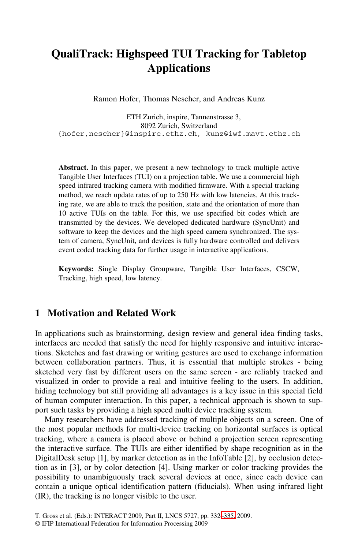# **QualiTrack: Highspeed TUI Tracking for Tabletop Applications**

Ramon Hofer, Thomas Nescher, and Andreas Kunz

ETH Zurich, inspire, Tannenstrasse 3, 8092 Zurich, Switzerland {hofer,nescher}@inspire.ethz.ch, kunz@iwf.mavt.ethz.ch

**Abstract.** In this paper, we present a new technology to track multiple active Tangible User Interfaces (TUI) on a projection table. We use a commercial high speed infrared tracking camera with modified firmware. With a special tracking method, we reach update rates of up to 250 Hz with low latencies. At this tracking rate, we are able to track the position, state and the orientation of more than 10 active TUIs on the table. For this, we use specified bit codes which are transmitted by the devices. We developed dedicated hardware (SyncUnit) and software to keep the devices and the high speed camera synchronized. The system of camera, SyncUnit, and devices is fully hardware controlled and delivers event coded tracking data for further usage in interactive applications.

**Keywords:** Single Display Groupware, Tangible User Interfaces, CSCW, Tracking, high speed, low latency.

### **1 Motivation and Related Work**

In applications such as brainstorming, design review and general idea finding tasks, interfaces are needed that satisfy the need for highly responsive and intuitive interactions. Sketches and fast drawing or writing gestures are used to exchange information between collaboration partners. Thus, it is essential that multiple strokes - being sketched very fast by different users on the same screen - are reliably tracked and visualized in order to provide a real and intuitive feeling to the users. In addition, hiding technology but still providing all advantages is a key issue in this special field of human computer interaction. In this paper, a technical approach is shown to support such tasks by providing a high speed multi device tracking system.

Many researchers have addressed tracking of multiple objects on a screen. One of the most popular methods for multi-device tracking on horizontal surfaces is optical tracking, where a camera is place[d abo](#page-3-0)ve or behind a projection screen representing the interactive surface. The TUIs are either identified by shape recognition as in the DigitalDesk setup [1], by marker detection as in the InfoTable [2], by occlusion detection as in [3], or by color detection [4]. Using marker or color tracking provides the possibility to unambiguously track several devices at once, since each device can contain a unique optical identification pattern (fiducials). When using infrared light (IR), the tracking is no longer visible to the user.

T. Gross et al. (Eds.): INTERACT 2009, Part II, LNCS 5727, pp. 332–335, 2009.

<sup>©</sup> IFIP International Federation for Information Processing 2009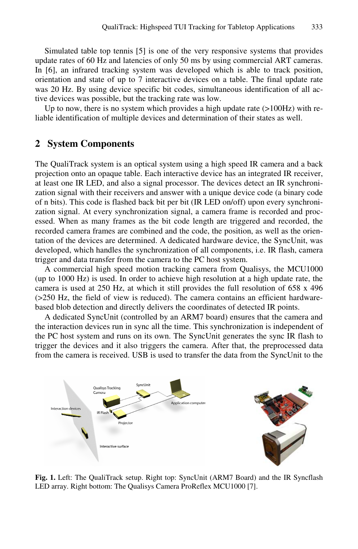Simulated table top tennis [5] is one of the very responsive systems that provides update rates of 60 Hz and latencies of only 50 ms by using commercial ART cameras. In [6], an infrared tracking system was developed which is able to track position, orientation and state of up to 7 interactive devices on a table. The final update rate was 20 Hz. By using device specific bit codes, simultaneous identification of all active devices was possible, but the tracking rate was low.

Up to now, there is no system which provides a high update rate  $(>100Hz)$  with reliable identification of multiple devices and determination of their states as well.

#### **2 System Components**

The QualiTrack system is an optical system using a high speed IR camera and a back projection onto an opaque table. Each interactive device has an integrated IR receiver, at least one IR LED, and also a signal processor. The devices detect an IR synchronization signal with their receivers and answer with a unique device code (a binary code of n bits). This code is flashed back bit per bit (IR LED on/off) upon every synchronization signal. At every synchronization signal, a camera frame is recorded and processed. When as many frames as the bit code length are triggered and recorded, the recorded camera frames are combined and the code, the position, as well as the orientation of the devices are determined. A dedicated hardware device, the SyncUnit, was developed, which handles the synchronization of all components, i.e. IR flash, camera trigger and data transfer from the camera to the PC host system.

A commercial high speed motion tracking camera from Qualisys, the MCU1000 (up to 1000 Hz) is used. In order to achieve high resolution at a high update rate, the camera is used at  $250$  Hz, at which it still provides the full resolution of  $658 \times 496$ (>250 Hz, the field of view is reduced). The camera contains an efficient hardwarebased blob detection and directly delivers the coordinates of detected IR points.

A dedicated SyncUnit (controlled by an ARM7 board) ensures that the camera and the interaction devices run in sync all the time. This synchronization is independent of the PC host system and runs on its own. The SyncUnit generates the sync IR flash to trigger the devices and it also triggers the camera. After that, the preprocessed data from the camera is received. USB is used to transfer the data from the SyncUnit to the



**Fig. 1.** Left: The QualiTrack setup. Right top: SyncUnit (ARM7 Board) and the IR Syncflash LED array. Right bottom: The Qualisys Camera ProReflex MCU1000 [7].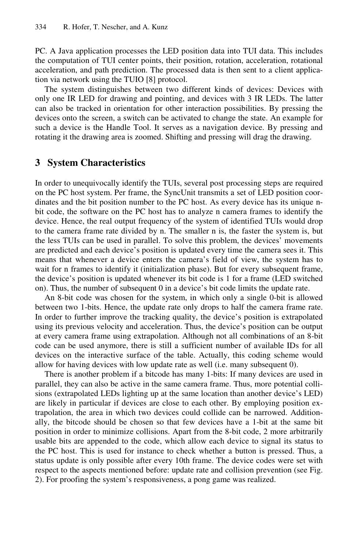PC. A Java application processes the LED position data into TUI data. This includes the computation of TUI center points, their position, rotation, acceleration, rotational acceleration, and path prediction. The processed data is then sent to a client application via network using the TUIO [8] protocol.

The system distinguishes between two different kinds of devices: Devices with only one IR LED for drawing and pointing, and devices with 3 IR LEDs. The latter can also be tracked in orientation for other interaction possibilities. By pressing the devices onto the screen, a switch can be activated to change the state. An example for such a device is the Handle Tool. It serves as a navigation device. By pressing and rotating it the drawing area is zoomed. Shifting and pressing will drag the drawing.

#### **3 System Characteristics**

In order to unequivocally identify the TUIs, several post processing steps are required on the PC host system. Per frame, the SyncUnit transmits a set of LED position coordinates and the bit position number to the PC host. As every device has its unique nbit code, the software on the PC host has to analyze n camera frames to identify the device. Hence, the real output frequency of the system of identified TUIs would drop to the camera frame rate divided by n. The smaller n is, the faster the system is, but the less TUIs can be used in parallel. To solve this problem, the devices' movements are predicted and each device's position is updated every time the camera sees it. This means that whenever a device enters the camera's field of view, the system has to wait for n frames to identify it (initialization phase). But for every subsequent frame, the device's position is updated whenever its bit code is 1 for a frame (LED switched on). Thus, the number of subsequent 0 in a device's bit code limits the update rate.

An 8-bit code was chosen for the system, in which only a single 0-bit is allowed between two 1-bits. Hence, the update rate only drops to half the camera frame rate. In order to further improve the tracking quality, the device's position is extrapolated using its previous velocity and acceleration. Thus, the device's position can be output at every camera frame using extrapolation. Although not all combinations of an 8-bit code can be used anymore, there is still a sufficient number of available IDs for all devices on the interactive surface of the table. Actually, this coding scheme would allow for having devices with low update rate as well (i.e. many subsequent 0).

There is another problem if a bitcode has many 1-bits: If many devices are used in parallel, they can also be active in the same camera frame. Thus, more potential collisions (extrapolated LEDs lighting up at the same location than another device's LED) are likely in particular if devices are close to each other. By employing position extrapolation, the area in which two devices could collide can be narrowed. Additionally, the bitcode should be chosen so that few devices have a 1-bit at the same bit position in order to minimize collisions. Apart from the 8-bit code, 2 more arbitrarily usable bits are appended to the code, which allow each device to signal its status to the PC host. This is used for instance to check whether a button is pressed. Thus, a status update is only possible after every 10th frame. The device codes were set with respect to the aspects mentioned before: update rate and collision prevention (see Fig. 2). For proofing the system's responsiveness, a pong game was realized.